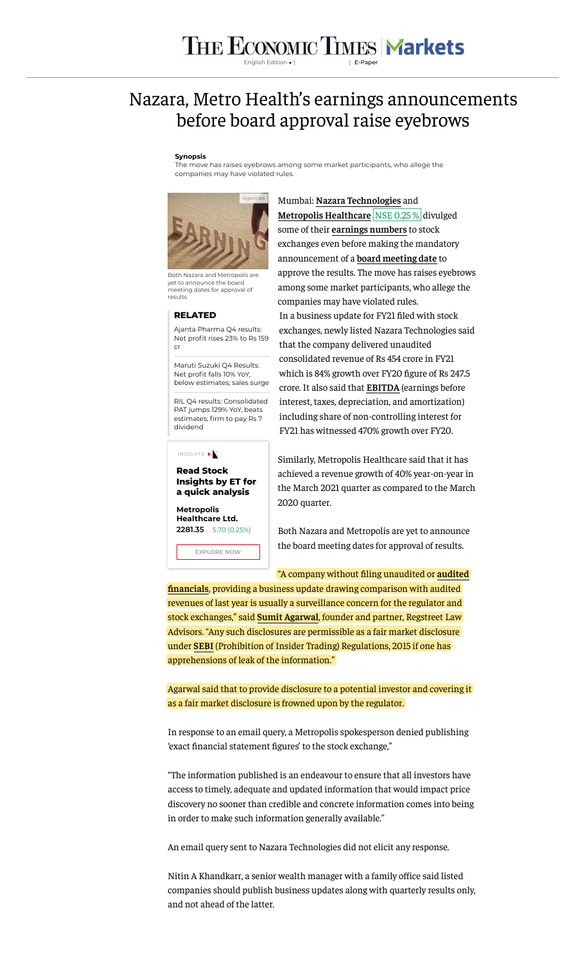# THE ECONOMIC TIMES Markets

English Edition | | [E-Paper](https://epaper.timesgroup.com/)

# Nazara, Metro Health's earnings announcements before board approval raise eyebrows

## **Synopsis**

The move has raises eyebrows among some market participants, who allege the companies may have violated rules.



Both Nazara and Metropolis are yet to announce the board meeting dates for approval of results.

#### **RELATED**

Ajanta Pharma Q4 results: Net profit rises 23% to Rs 159 cr

Maruti Suzuki Q4 Results: Net profit falls 10% YoY. [below estimates; sales surge](https://economictimes.indiatimes.com/markets/stocks/earnings/maruti-suzuki-q4-results-net-profit-falls-10-yoy-below-estimate-sales-surge/articleshow/82272573.cms)

[RIL Q4 results: Consolidated](https://economictimes.indiatimes.com/markets/stocks/earnings/ril-q4-results-consolidated-pat-jumps-129-yoy-beats-estimates-firm-to-pay-rs-7-dividend/articleshow/82330708.cms) PAT jumps 129% YoY, beats estimates; firm to pay Rs 7 dividend

### INSIGHTS

**Read Stock Insights by ET for a quick analysis**

**Metropolis [Healthcare Ltd.](https://economictimes.indiatimes.com/metropolis-healthcare-ltd/stocks/companyid-16325.cms) 2281.35** 5.70 (0.25%)

**EXPLORE NOW**

Mumbai: **[Nazara Technologies](https://economictimes.indiatimes.com/topic/Nazara-Technologies)** and **Metropolis Healthcare [NSE 0.25 %](https://economictimes.indiatimes.com/metropolis-healthcare-ltd/stocks/companyid-16325.cms) divulged** some of their **[earnings numbers](https://economictimes.indiatimes.com/topic/earnings-numbers)** to stock exchanges even before making the mandatory announcement of a **[board meeting date](https://economictimes.indiatimes.com/topic/board-meeting-date)** to approve the results. The move has raises eyebrows among some market participants, who allege the companies may have violated rules. In a business update for FY21 filed with stock exchanges, newly listed Nazara Technologies said that the company delivered unaudited consolidated revenue of Rs 454 crore in FY21 which is 84% growth over FY20 figure of Rs 247.5 crore. It also said that **[EBITDA](https://economictimes.indiatimes.com/topic/EBITDA)** (earnings before interest, taxes, depreciation, and amortization) including share of non-controlling interest for FY21 has witnessed 470% growth over FY20.

Similarly, Metropolis Healthcare said that it has achieved a revenue growth of 40% year-on-year in the March 2021 quarter as compared to the March 2020 quarter.

Both Nazara and Metropolis are yet to announce the board meeting dates for approval of results.

#### "A company without ling unaudited or **audited**

**nancials**[, providing a business update drawing comparison with audited](https://economictimes.indiatimes.com/topic/audited-financials) revenues of last year is usually a surveillance concern for the regulator and stock exchanges," said **[Sumit Agarwal](https://economictimes.indiatimes.com/topic/Sumit-Agarwal)**, founder and partner, Regstreet Law Advisors. "Any such disclosures are permissible as a fair market disclosure under **[SEBI](https://economictimes.indiatimes.com/topic/SEBI)** (Prohibition of Insider Trading) Regulations, 2015 if one has apprehensions of leak of the information."

Agarwal said that to provide disclosure to a potential investor and covering it as a fair market disclosure is frowned upon by the regulator.

In response to an email query, a Metropolis spokesperson denied publishing 'exact financial statement figures' to the stock exchange,"

"The information published is an endeavour to ensure that all investors have access to timely, adequate and updated information that would impact price discovery no sooner than credible and concrete information comes into being in order to make such information generally available."

An email query sent to Nazara Technologies did not elicit any response.

Nitin A Khandkarr, a senior wealth manager with a family office said listed companies should publish business updates along with quarterly results only, and not ahead of the latter.